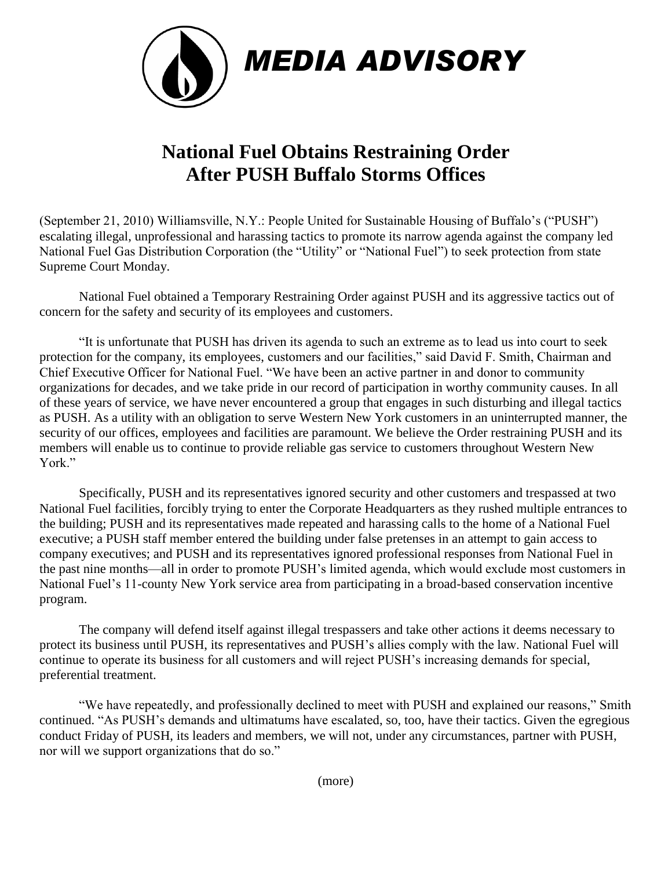

## **National Fuel Obtains Restraining Order After PUSH Buffalo Storms Offices**

(September 21, 2010) Williamsville, N.Y.: People United for Sustainable Housing of Buffalo's ("PUSH") escalating illegal, unprofessional and harassing tactics to promote its narrow agenda against the company led National Fuel Gas Distribution Corporation (the "Utility" or "National Fuel") to seek protection from state Supreme Court Monday.

National Fuel obtained a Temporary Restraining Order against PUSH and its aggressive tactics out of concern for the safety and security of its employees and customers.

"It is unfortunate that PUSH has driven its agenda to such an extreme as to lead us into court to seek protection for the company, its employees, customers and our facilities," said David F. Smith, Chairman and Chief Executive Officer for National Fuel. "We have been an active partner in and donor to community organizations for decades, and we take pride in our record of participation in worthy community causes. In all of these years of service, we have never encountered a group that engages in such disturbing and illegal tactics as PUSH. As a utility with an obligation to serve Western New York customers in an uninterrupted manner, the security of our offices, employees and facilities are paramount. We believe the Order restraining PUSH and its members will enable us to continue to provide reliable gas service to customers throughout Western New York"

Specifically, PUSH and its representatives ignored security and other customers and trespassed at two National Fuel facilities, forcibly trying to enter the Corporate Headquarters as they rushed multiple entrances to the building; PUSH and its representatives made repeated and harassing calls to the home of a National Fuel executive; a PUSH staff member entered the building under false pretenses in an attempt to gain access to company executives; and PUSH and its representatives ignored professional responses from National Fuel in the past nine months—all in order to promote PUSH's limited agenda, which would exclude most customers in National Fuel's 11-county New York service area from participating in a broad-based conservation incentive program.

The company will defend itself against illegal trespassers and take other actions it deems necessary to protect its business until PUSH, its representatives and PUSH's allies comply with the law. National Fuel will continue to operate its business for all customers and will reject PUSH's increasing demands for special, preferential treatment.

"We have repeatedly, and professionally declined to meet with PUSH and explained our reasons," Smith continued. "As PUSH's demands and ultimatums have escalated, so, too, have their tactics. Given the egregious conduct Friday of PUSH, its leaders and members, we will not, under any circumstances, partner with PUSH, nor will we support organizations that do so."